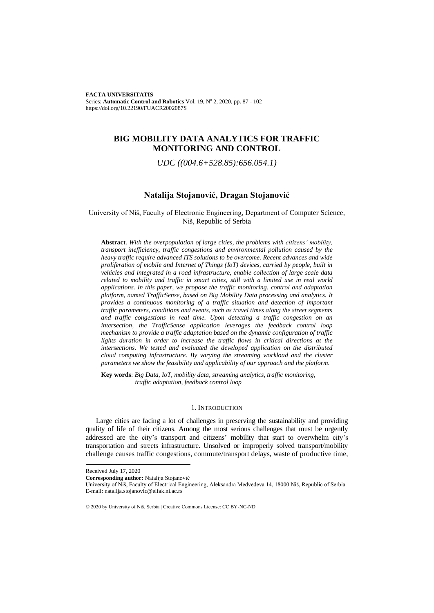**FACTA UNIVERSITATIS**  Series: **Automatic Control and Robotics** Vol. 19, N° 2, 2020, pp. 87 - 102 https://doi.org/10.22190/FUACR2002087S

# **BIG MOBILITY DATA ANALYTICS FOR TRAFFIC MONITORING AND CONTROL**

*UDC ((004.6+528.85):656.054.1)*

# **Natalija Stojanović, Dragan Stojanović**

University of Niš, Faculty of Electronic Engineering, Department of Computer Science, Niš, Republic of Serbia

**Abstract**. *With the overpopulation of large cities, the problems with citizens' mobility, transport inefficiency, traffic congestions and environmental pollution caused by the heavy traffic require advanced ITS solutions to be overcome. Recent advances and wide proliferation of mobile and Internet of Things (IoT) devices, carried by people, built in vehicles and integrated in a road infrastructure, enable collection of large scale data related to mobility and traffic in smart cities, still with a limited use in real world applications. In this paper, we propose the traffic monitoring, control and adaptation platform, named TrafficSense, based on Big Mobility Data processing and analytics. It provides a continuous monitoring of a traffic situation and detection of important traffic parameters, conditions and events, such as travel times along the street segments and traffic congestions in real time. Upon detecting a traffic congestion on an intersection, the TrafficSense application leverages the feedback control loop mechanism to provide a traffic adaptation based on the dynamic configuration of traffic lights duration in order to increase the traffic flows in critical directions at the intersections. We tested and evaluated the developed application on the distributed cloud computing infrastructure. By varying the streaming workload and the cluster parameters we show the feasibility and applicability of our approach and the platform.*

**Key words**: *Big Data, IoT, mobility data, streaming analytics, traffic monitoring, traffic adaptation, feedback control loop*

### 1. INTRODUCTION

Large cities are facing a lot of challenges in preserving the sustainability and providing quality of life of their citizens. Among the most serious challenges that must be urgently addressed are the city's transport and citizens' mobility that start to overwhelm city's transportation and streets infrastructure. Unsolved or improperly solved transport/mobility challenge causes traffic congestions, commute/transport delays, waste of productive time,

Received July 17, 2020

**Corresponding author:** Natalija Stojanović

University of Niš, Faculty of Electrical Engineering, Aleksandra Medvedeva 14, 18000 Niš, Republic of Serbia E-mail: natalija.stojanovic@elfak.ni.ac.rs

<sup>© 2020</sup> by University of Niš, Serbia | Creative Commons License: CC BY-NC-ND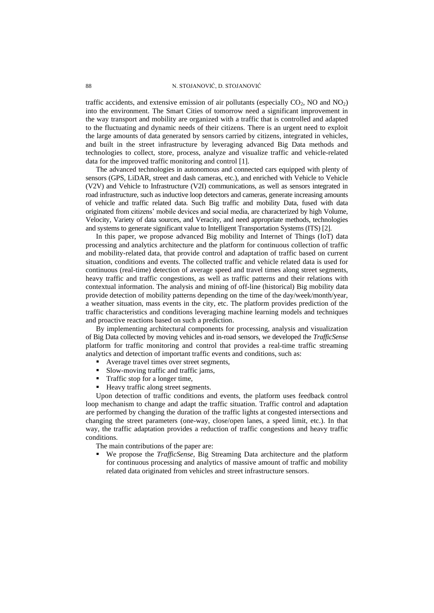traffic accidents, and extensive emission of air pollutants (especially  $CO<sub>2</sub>$ , NO and  $NO<sub>2</sub>$ ) into the environment. The Smart Cities of tomorrow need a significant improvement in the way transport and mobility are organized with a traffic that is controlled and adapted to the fluctuating and dynamic needs of their citizens. There is an urgent need to exploit the large amounts of data generated by sensors carried by citizens, integrated in vehicles, and built in the street infrastructure by leveraging advanced Big Data methods and technologies to collect, store, process, analyze and visualize traffic and vehicle-related data for the improved traffic monitoring and control [1].

The advanced technologies in autonomous and connected cars equipped with plenty of sensors (GPS, LiDAR, street and dash cameras, etc.), and enriched with Vehicle to Vehicle (V2V) and Vehicle to Infrastructure (V2I) communications, as well as sensors integrated in road infrastructure, such as inductive loop detectors and cameras, generate increasing amounts of vehicle and traffic related data. Such Big traffic and mobility Data, fused with data originated from citizens' mobile devices and social media, are characterized by high Volume, Velocity, Variety of data sources, and Veracity, and need appropriate methods, technologies and systems to generate significant value to Intelligent Transportation Systems (ITS) [2].

In this paper, we propose advanced Big mobility and Internet of Things (IoT) data processing and analytics architecture and the platform for continuous collection of traffic and mobility-related data, that provide control and adaptation of traffic based on current situation, conditions and events. The collected traffic and vehicle related data is used for continuous (real-time) detection of average speed and travel times along street segments, heavy traffic and traffic congestions, as well as traffic patterns and their relations with contextual information. The analysis and mining of off-line (historical) Big mobility data provide detection of mobility patterns depending on the time of the day/week/month/year, a weather situation, mass events in the city, etc. The platform provides prediction of the traffic characteristics and conditions leveraging machine learning models and techniques and proactive reactions based on such a prediction.

By implementing architectural components for processing, analysis and visualization of Big Data collected by moving vehicles and in-road sensors, we developed the *TrafficSense* platform for traffic monitoring and control that provides a real-time traffic streaming analytics and detection of important traffic events and conditions, such as:

- Average travel times over street segments,
- Slow-moving traffic and traffic jams,
- Traffic stop for a longer time,
- Heavy traffic along street segments.

Upon detection of traffic conditions and events, the platform uses feedback control loop mechanism to change and adapt the traffic situation. Traffic control and adaptation are performed by changing the duration of the traffic lights at congested intersections and changing the street parameters (one-way, close/open lanes, a speed limit, etc.). In that way, the traffic adaptation provides a reduction of traffic congestions and heavy traffic conditions.

The main contributions of the paper are:

We propose the *TrafficSense*, Big Streaming Data architecture and the platform for continuous processing and analytics of massive amount of traffic and mobility related data originated from vehicles and street infrastructure sensors.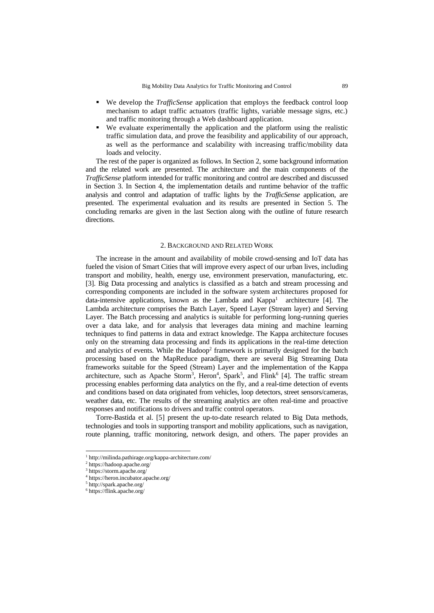- We develop the *TrafficSense* application that employs the feedback control loop mechanism to adapt traffic actuators (traffic lights, variable message signs, etc.) and traffic monitoring through a Web dashboard application.
- We evaluate experimentally the application and the platform using the realistic traffic simulation data, and prove the feasibility and applicability of our approach, as well as the performance and scalability with increasing traffic/mobility data loads and velocity.

The rest of the paper is organized as follows. In Section 2, some background information and the related work are presented. The architecture and the main components of the *TrafficSense* platform intended for traffic monitoring and control are described and discussed in Section 3. In Section 4, the implementation details and runtime behavior of the traffic analysis and control and adaptation of traffic lights by the *TrafficSense* application, are presented. The experimental evaluation and its results are presented in Section 5. The concluding remarks are given in the last Section along with the outline of future research directions.

### 2. BACKGROUND AND RELATED WORK

The increase in the amount and availability of mobile crowd-sensing and IoT data has fueled the vision of Smart Cities that will improve every aspect of our urban lives, including transport and mobility, health, energy use, environment preservation, manufacturing, etc. [3]. Big Data processing and analytics is classified as a batch and stream processing and corresponding components are included in the software system architectures proposed for data-intensive applications, known as the Lambda and Kappa<sup>1</sup> architecture [4]. The Lambda architecture comprises the Batch Layer, Speed Layer (Stream layer) and Serving Layer. The Batch processing and analytics is suitable for performing long-running queries over a data lake, and for analysis that leverages data mining and machine learning techniques to find patterns in data and extract knowledge. The Kappa architecture focuses only on the streaming data processing and finds its applications in the real-time detection and analytics of events. While the  $H$ adoop<sup>2</sup> framework is primarily designed for the batch processing based on the MapReduce paradigm, there are several Big Streaming Data frameworks suitable for the Speed (Stream) Layer and the implementation of the Kappa architecture, such as Apache Storm<sup>3</sup>, Heron<sup>4</sup>, Spark<sup>5</sup>, and Flink<sup>6</sup> [4]. The traffic stream processing enables performing data analytics on the fly, and a real-time detection of events and conditions based on data originated from vehicles, loop detectors, street sensors/cameras, weather data, etc. The results of the streaming analytics are often real-time and proactive responses and notifications to drivers and traffic control operators.

Torre-Bastida et al. [5] present the up-to-date research related to Big Data methods, technologies and tools in supporting transport and mobility applications, such as navigation, route planning, traffic monitoring, network design, and others. The paper provides an

<sup>1</sup> http://milinda.pathirage.org/kappa-architecture.com/

<sup>2</sup> https://hadoop.apache.org/

<sup>3</sup> https://storm.apache.org/

<sup>4</sup> https://heron.incubator.apache.org/

<sup>5</sup> http://spark.apache.org/

<sup>6</sup> https://flink.apache.org/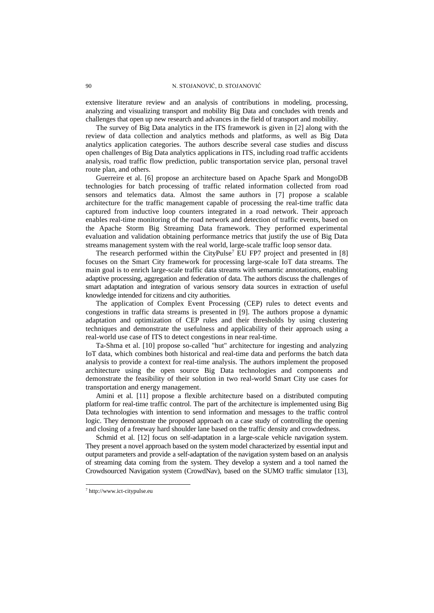extensive literature review and an analysis of contributions in modeling, processing, analyzing and visualizing transport and mobility Big Data and concludes with trends and challenges that open up new research and advances in the field of transport and mobility.

The survey of Big Data analytics in the ITS framework is given in [2] along with the review of data collection and analytics methods and platforms, as well as Big Data analytics application categories. The authors describe several case studies and discuss open challenges of Big Data analytics applications in ITS, including road traffic accidents analysis, road traffic flow prediction, public transportation service plan, personal travel route plan, and others.

Guerreire et al. [6] propose an architecture based on Apache Spark and MongoDB technologies for batch processing of traffic related information collected from road sensors and telematics data. Almost the same authors in [7] propose a scalable architecture for the traffic management capable of processing the real-time traffic data captured from inductive loop counters integrated in a road network. Their approach enables real-time monitoring of the road network and detection of traffic events, based on the Apache Storm Big Streaming Data framework. They performed experimental evaluation and validation obtaining performance metrics that justify the use of Big Data streams management system with the real world, large-scale traffic loop sensor data.

The research performed within the CityPulse<sup>7</sup> EU FP7 project and presented in [8] focuses on the Smart City framework for processing large-scale IoT data streams. The main goal is to enrich large-scale traffic data streams with semantic annotations, enabling adaptive processing, aggregation and federation of data. The authors discuss the challenges of smart adaptation and integration of various sensory data sources in extraction of useful knowledge intended for citizens and city authorities.

The application of Complex Event Processing (CEP) rules to detect events and congestions in traffic data streams is presented in [9]. The authors propose a dynamic adaptation and optimization of CEP rules and their thresholds by using clustering techniques and demonstrate the usefulness and applicability of their approach using a real-world use case of ITS to detect congestions in near real-time.

Ta-Shma et al. [10] propose so-called "hut" architecture for ingesting and analyzing IoT data, which combines both historical and real-time data and performs the batch data analysis to provide a context for real-time analysis. The authors implement the proposed architecture using the open source Big Data technologies and components and demonstrate the feasibility of their solution in two real-world Smart City use cases for transportation and energy management.

Amini et al. [11] propose a flexible architecture based on a distributed computing platform for real-time traffic control. The part of the architecture is implemented using Big Data technologies with intention to send information and messages to the traffic control logic. They demonstrate the proposed approach on a case study of controlling the opening and closing of a freeway hard shoulder lane based on the traffic density and crowdedness.

Schmid et al. [12] focus on self-adaptation in a large-scale vehicle navigation system. They present a novel approach based on the system model characterized by essential input and output parameters and provide a self-adaptation of the navigation system based on an analysis of streaming data coming from the system. They develop a system and a tool named the Crowdsourced Navigation system (CrowdNav), based on the SUMO traffic simulator [13],

<sup>7</sup> http://www.ict-citypulse.eu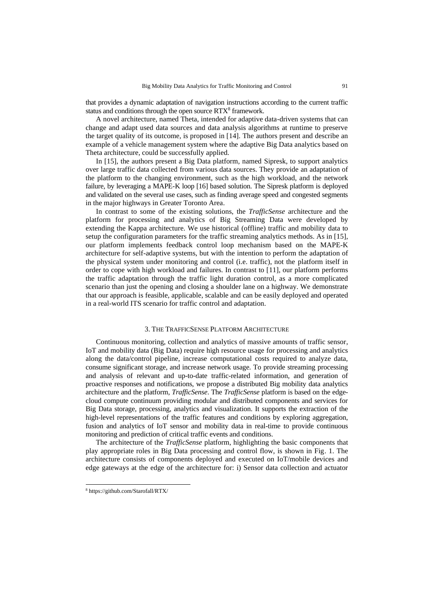that provides a dynamic adaptation of navigation instructions according to the current traffic status and conditions through the open source RTX<sup>8</sup> framework.

A novel architecture, named Theta, intended for adaptive data-driven systems that can change and adapt used data sources and data analysis algorithms at runtime to preserve the target quality of its outcome, is proposed in [14]. The authors present and describe an example of a vehicle management system where the adaptive Big Data analytics based on Theta architecture, could be successfully applied.

In [15], the authors present a Big Data platform, named Sipresk, to support analytics over large traffic data collected from various data sources. They provide an adaptation of the platform to the changing environment, such as the high workload, and the network failure, by leveraging a MAPE-K loop [16] based solution. The Sipresk platform is deployed and validated on the several use cases, such as finding average speed and congested segments in the major highways in Greater Toronto Area.

In contrast to some of the existing solutions, the *TrafficSense* architecture and the platform for processing and analytics of Big Streaming Data were developed by extending the Kappa architecture. We use historical (offline) traffic and mobility data to setup the configuration parameters for the traffic streaming analytics methods. As in [15], our platform implements feedback control loop mechanism based on the MAPE-K architecture for self-adaptive systems, but with the intention to perform the adaptation of the physical system under monitoring and control (i.e. traffic), not the platform itself in order to cope with high workload and failures. In contrast to [11], our platform performs the traffic adaptation through the traffic light duration control, as a more complicated scenario than just the opening and closing a shoulder lane on a highway. We demonstrate that our approach is feasible, applicable, scalable and can be easily deployed and operated in a real-world ITS scenario for traffic control and adaptation.

## 3. THE TRAFFICSENSE PLATFORM ARCHITECTURE

Continuous monitoring, collection and analytics of massive amounts of traffic sensor, IoT and mobility data (Big Data) require high resource usage for processing and analytics along the data/control pipeline, increase computational costs required to analyze data, consume significant storage, and increase network usage. To provide streaming processing and analysis of relevant and up-to-date traffic-related information, and generation of proactive responses and notifications, we propose a distributed Big mobility data analytics architecture and the platform, *TrafficSense*. The *TrafficSense* platform is based on the edgecloud compute continuum providing modular and distributed components and services for Big Data storage, processing, analytics and visualization. It supports the extraction of the high-level representations of the traffic features and conditions by exploring aggregation, fusion and analytics of IoT sensor and mobility data in real-time to provide continuous monitoring and prediction of critical traffic events and conditions.

The architecture of the *TrafficSense* platform, highlighting the basic components that play appropriate roles in Big Data processing and control flow, is shown in Fig. 1. The architecture consists of components deployed and executed on IoT/mobile devices and edge gateways at the edge of the architecture for: i) Sensor data collection and actuator

<sup>8</sup> https://github.com/Starofall/RTX/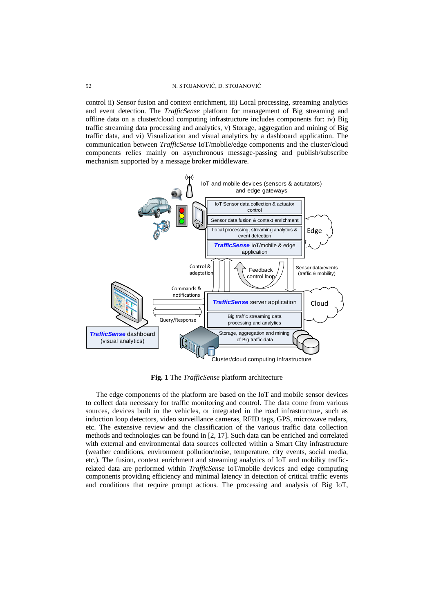control ii) Sensor fusion and context enrichment, iii) Local processing, streaming analytics and event detection. The *TrafficSense* platform for management of Big streaming and offline data on a cluster/cloud computing infrastructure includes components for: iv) Big traffic streaming data processing and analytics, v) Storage, aggregation and mining of Big traffic data, and vi) Visualization and visual analytics by a dashboard application. The communication between *TrafficSense* IoT/mobile/edge components and the cluster/cloud components relies mainly on asynchronous message-passing and publish/subscribe mechanism supported by a message broker middleware.



**Fig. 1** The *TrafficSense* platform architecture

The edge components of the platform are based on the IoT and mobile sensor devices to collect data necessary for traffic monitoring and control. The data come from various sources, devices built in the vehicles, or integrated in the road infrastructure, such as induction loop detectors, video surveillance cameras, RFID tags, GPS, microwave radars, etc. The extensive review and the classification of the various traffic data collection methods and technologies can be found in [2, 17]. Such data can be enriched and correlated with external and environmental data sources collected within a Smart City infrastructure (weather conditions, environment pollution/noise, temperature, city events, social media, etc.). The fusion, context enrichment and streaming analytics of IoT and mobility trafficrelated data are performed within *TrafficSense* IoT/mobile devices and edge computing components providing efficiency and minimal latency in detection of critical traffic events and conditions that require prompt actions. The processing and analysis of Big IoT,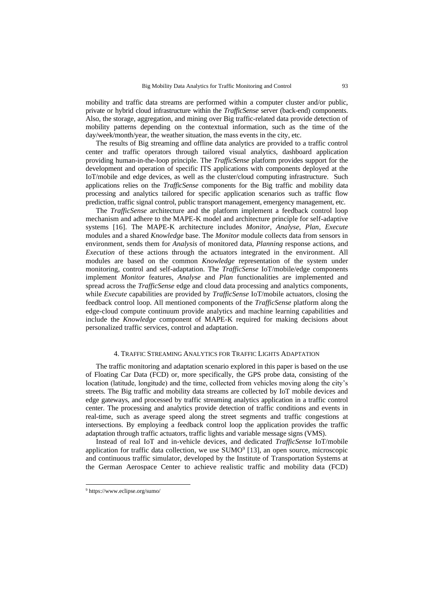mobility and traffic data streams are performed within a computer cluster and/or public, private or hybrid cloud infrastructure within the *TrafficSense* server (back-end) components. Also, the storage, aggregation, and mining over Big traffic-related data provide detection of mobility patterns depending on the contextual information, such as the time of the day/week/month/year, the weather situation, the mass events in the city, etc.

The results of Big streaming and offline data analytics are provided to a traffic control center and traffic operators through tailored visual analytics, dashboard application providing human-in-the-loop principle. The *TrafficSense* platform provides support for the development and operation of specific ITS applications with components deployed at the IoT/mobile and edge devices, as well as the cluster/cloud computing infrastructure. Such applications relies on the *TrafficSense* components for the Big traffic and mobility data processing and analytics tailored for specific application scenarios such as traffic flow prediction, traffic signal control, public transport management, emergency management, etc.

The *TrafficSense* architecture and the platform implement a feedback control loop mechanism and adhere to the MAPE-K model and architecture principle for self-adaptive systems [16]. The MAPE-K architecture includes *Monitor*, *Analyse*, *Plan*, *Execute* modules and a shared *Knowledge* base. The *Monitor* module collects data from sensors in environment, sends them for *Analysis* of monitored data, *Planning* response actions, and *Execution* of these actions through the actuators integrated in the environment. All modules are based on the common *Knowledge* representation of the system under monitoring, control and self-adaptation. The *TrafficSense* IoT/mobile/edge components implement *Monitor* features, *Analyse* and *Plan* functionalities are implemented and spread across the *TrafficSense* edge and cloud data processing and analytics components, while *Execute* capabilities are provided by *TrafficSense* IoT/mobile actuators, closing the feedback control loop. All mentioned components of the *TrafficSense* platform along the edge-cloud compute continuum provide analytics and machine learning capabilities and include the *Knowledge* component of MAPE-K required for making decisions about personalized traffic services, control and adaptation.

## 4. TRAFFIC STREAMING ANALYTICS FOR TRAFFIC LIGHTS ADAPTATION

The traffic monitoring and adaptation scenario explored in this paper is based on the use of Floating Car Data (FCD) or, more specifically, the GPS probe data, consisting of the location (latitude, longitude) and the time, collected from vehicles moving along the city's streets. The Big traffic and mobility data streams are collected by IoT mobile devices and edge gateways, and processed by traffic streaming analytics application in a traffic control center. The processing and analytics provide detection of traffic conditions and events in real-time, such as average speed along the street segments and traffic congestions at intersections. By employing a feedback control loop the application provides the traffic adaptation through traffic actuators, traffic lights and variable message signs (VMS).

Instead of real IoT and in-vehicle devices, and dedicated *TrafficSense* IoT/mobile application for traffic data collection, we use  $SUMO<sup>9</sup>$  [13], an open source, microscopic and continuous traffic simulator, developed by the Institute of Transportation Systems at the German Aerospace Center to achieve realistic traffic and mobility data (FCD)

<sup>9</sup> https://www.eclipse.org/sumo/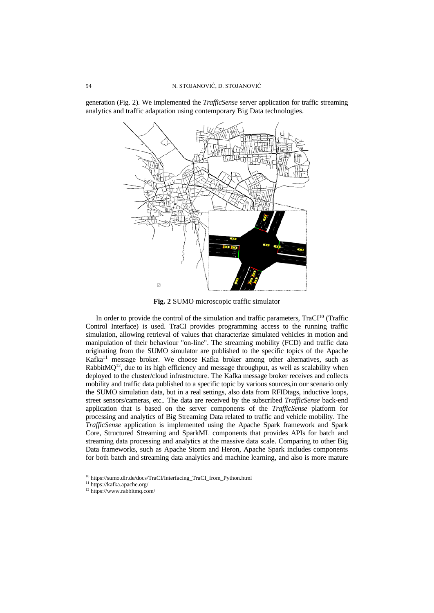

generation (Fig. 2). We implemented the *TrafficSense* server application for traffic streaming analytics and traffic adaptation using contemporary Big Data technologies.

**Fig. 2** SUMO microscopic traffic simulator

In order to provide the control of the simulation and traffic parameters,  $\text{Tr}aCl^{10}$  (Traffic Control Interface) is used. TraCI provides programming access to the running traffic simulation, allowing retrieval of values that characterize simulated vehicles in motion and manipulation of their behaviour "on-line". The streaming mobility (FCD) and traffic data originating from the SUMO simulator are published to the specific topics of the Apache Kafka<sup>11</sup> message broker. We choose Kafka broker among other alternatives, such as Rabbit $MQ<sup>12</sup>$ , due to its high efficiency and message throughput, as well as scalability when deployed to the cluster/cloud infrastructure. The Kafka message broker receives and collects mobility and traffic data published to a specific topic by various sources,in our scenario only the SUMO simulation data, but in a real settings, also data from RFIDtags, inductive loops, street sensors/cameras, etc.. The data are received by the subscribed *TrafficSense* back-end application that is based on the server components of the *TrafficSense* platform for processing and analytics of Big Streaming Data related to traffic and vehicle mobility. The *TrafficSense* application is implemented using the Apache Spark framework and Spark Core, Structured Streaming and SparkML components that provides APIs for batch and streaming data processing and analytics at the massive data scale. Comparing to other Big Data frameworks, such as Apache Storm and Heron, Apache Spark includes components for both batch and streaming data analytics and machine learning, and also is more mature

<sup>10</sup> https://sumo.dlr.de/docs/TraCI/Interfacing\_TraCI\_from\_Python.html

<sup>11</sup> https://kafka.apache.org/

<sup>12</sup> https://www.rabbitmq.com/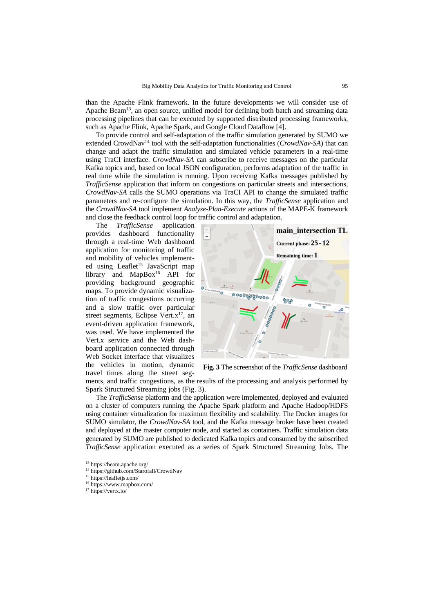than the Apache Flink framework. In the future developments we will consider use of Apache Beam<sup>13</sup>, an open source, unified model for defining both batch and streaming data processing pipelines that can be executed by supported distributed processing frameworks, such as Apache Flink, Apache Spark, and Google Cloud Dataflow [4].

To provide control and self-adaptation of the traffic simulation generated by SUMO we extended CrowdNav<sup>14</sup> tool with the self-adaptation functionalities (*CrowdNav-SA*) that can change and adapt the traffic simulation and simulated vehicle parameters in a real-time using TraCI interface. *CrowdNav-SA* can subscribe to receive messages on the particular Kafka topics and, based on local JSON configuration, performs adaptation of the traffic in real time while the simulation is running. Upon receiving Kafka messages published by *TrafficSense* application that inform on congestions on particular streets and intersections, *CrowdNav-SA* calls the SUMO operations via TraCI API to change the simulated traffic parameters and re-configure the simulation. In this way, the *TrafficSense* application and the *CrowdNav-SA* tool implement *Analyse-Plan-Execute* actions of the MAPE-K framework and close the feedback control loop for traffic control and adaptation.

The *TrafficSense* application<br>provides dashboard functionality dashboard functionality through a real-time Web dashboard application for monitoring of traffic and mobility of vehicles implemented using Leaflet<sup>15</sup> JavaScript map library and MapBox<sup>16</sup> API for providing background geographic maps. To provide dynamic visualization of traffic congestions occurring and a slow traffic over particular street segments, Eclipse Vert. $x^{17}$ , an event-driven application framework, was used. We have implemented the Vert.x service and the Web dashboard application connected through Web Socket interface that visualizes the vehicles in motion, dynamic travel times along the street seg-



**Fig. 3** The screenshot of the *TrafficSense* dashboard

ments, and traffic congestions, as the results of the processing and analysis performed by Spark Structured Streaming jobs (Fig. 3).

The *TrafficSense* platform and the application were implemented, deployed and evaluated on a cluster of computers running the Apache Spark platform and Apache Hadoop/HDFS using container virtualization for maximum flexibility and scalability. The Docker images for SUMO simulator, the *CrowdNav-SA* tool, and the Kafka message broker have been created and deployed at the master computer node, and started as containers. Traffic simulation data generated by SUMO are published to dedicated Kafka topics and consumed by the subscribed *TrafficSense* application executed as a series of Spark Structured Streaming Jobs. The

<sup>13</sup> https://beam.apache.org/

<sup>14</sup> https://github.com/Starofall/CrowdNav

<sup>15</sup> https://leafletjs.com/

<sup>16</sup> https://www.mapbox.com/ <sup>17</sup> https://vertx.io/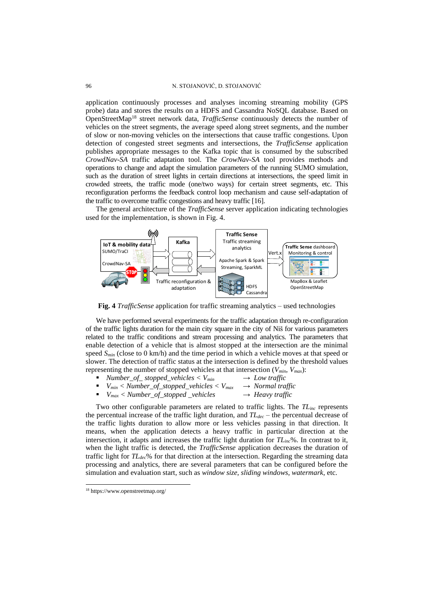application continuously processes and analyses incoming streaming mobility (GPS probe) data and stores the results on a HDFS and Cassandra NoSQL database. Based on OpenStreetMap<sup>18</sup> street network data, *TrafficSense* continuously detects the number of vehicles on the street segments, the average speed along street segments, and the number of slow or non-moving vehicles on the intersections that cause traffic congestions. Upon detection of congested street segments and intersections, the *TrafficSense* application publishes appropriate messages to the Kafka topic that is consumed by the subscribed *CrowdNav-SA* traffic adaptation tool. The *CrowNav-SA* tool provides methods and operations to change and adapt the simulation parameters of the running SUMO simulation, such as the duration of street lights in certain directions at intersections, the speed limit in crowded streets, the traffic mode (one/two ways) for certain street segments, etc. This reconfiguration performs the feedback control loop mechanism and cause self-adaptation of the traffic to overcome traffic congestions and heavy traffic [16].

The general architecture of the *TrafficSense* server application indicating technologies used for the implementation, is shown in Fig. 4.



**Fig. 4** *TrafficSense* application for traffic streaming analytics – used technologies

We have performed several experiments for the traffic adaptation through re-configuration of the traffic lights duration for the main city square in the city of Niš for various parameters related to the traffic conditions and stream processing and analytics. The parameters that enable detection of a vehicle that is almost stopped at the intersection are the minimal speed *Smin* (close to 0 km/h) and the time period in which a vehicle moves at that speed or slower. The detection of traffic status at the intersection is defined by the threshold values representing the number of stopped vehicles at that intersection (*Vmin, Vmax*):

- *Number\_of\_stopped\_vehicles* <  $V_{min}$   $\rightarrow$  *Low traffic*
- $V_{min}$  < *Number\_of\_stopped\_vehicles* <  $V_{max}$   $\rightarrow$  *Normal traffic*  $\rightarrow$  *V<sub>max</sub>* < *Number* of *stopped vehicles*  $\rightarrow$  *Heavy traffic*
- $V_{max}$  < *Number\_of\_stopped* \_vehicles

Two other configurable parameters are related to traffic lights. The *TLinc* represents the percentual increase of the traffic light duration, and *TLdec* – the percentual decrease of the traffic lights duration to allow more or less vehicles passing in that direction. It means, when the application detects a heavy traffic in particular direction at the intersection, it adapts and increases the traffic light duration for *TLinc*%. In contrast to it, when the light traffic is detected, the *TrafficSense* application decreases the duration of traffic light for *TLdec*% for that direction at the intersection. Regarding the streaming data processing and analytics, there are several parameters that can be configured before the simulation and evaluation start, such as *window size*, *sliding windows*, *watermark*, etc.

<sup>18</sup> https://www.openstreetmap.org/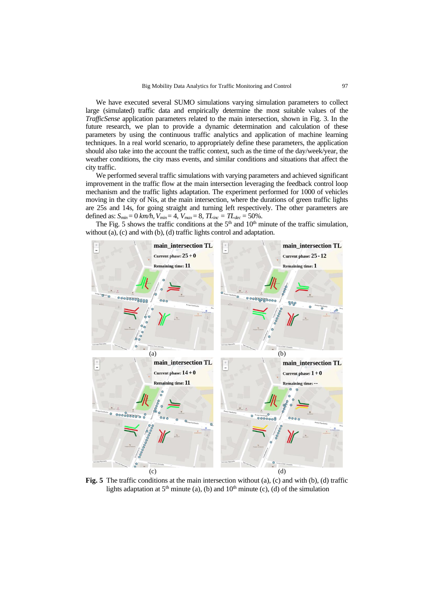We have executed several SUMO simulations varying simulation parameters to collect large (simulated) traffic data and empirically determine the most suitable values of the *TrafficSense* application parameters related to the main intersection, shown in Fig. 3. In the future research, we plan to provide a dynamic determination and calculation of these parameters by using the continuous traffic analytics and application of machine learning techniques. In a real world scenario, to appropriately define these parameters, the application should also take into the account the traffic context, such as the time of the day/week/year, the weather conditions, the city mass events, and similar conditions and situations that affect the city traffic.

We performed several traffic simulations with varying parameters and achieved significant improvement in the traffic flow at the main intersection leveraging the feedback control loop mechanism and the traffic lights adaptation. The experiment performed for 1000 of vehicles moving in the city of Nis, at the main intersection, where the durations of green traffic lights are 25s and 14s, for going straight and turning left respectively. The other parameters are defined as: *Smin*= 0 *km/h,Vmin*= 4, *Vmax*= 8, *TLinc = TLdec* = 50%.

The Fig. 5 shows the traffic conditions at the  $5<sup>th</sup>$  and  $10<sup>th</sup>$  minute of the traffic simulation, without (a), (c) and with (b), (d) traffic lights control and adaptation.



**Fig. 5** The traffic conditions at the main intersection without (a), (c) and with (b), (d) traffic lights adaptation at  $5<sup>th</sup>$  minute (a), (b) and  $10<sup>th</sup>$  minute (c), (d) of the simulation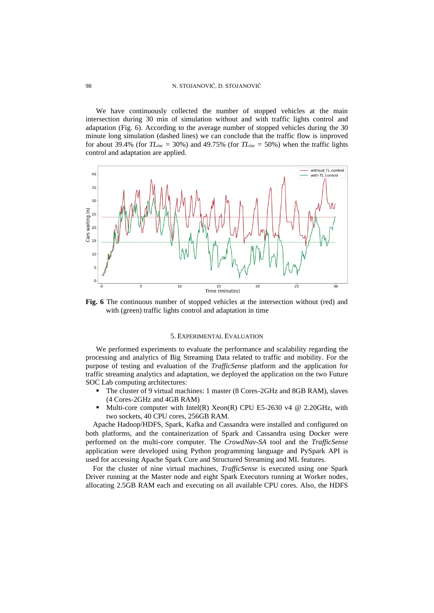#### 98 N. STOJANOVIĆ, D. STOJANOVIĆ

We have continuously collected the number of stopped vehicles at the main intersection during 30 min of simulation without and with traffic lights control and adaptation (Fig. 6). According to the average number of stopped vehicles during the 30 minute long simulation (dashed lines) we can conclude that the traffic flow is improved for about 39.4% (for  $TL<sub>inc</sub> = 30%$ ) and 49.75% (for  $TL<sub>inc</sub> = 50%$ ) when the traffic lights control and adaptation are applied.



**Fig. 6** The continuous number of stopped vehicles at the intersection without (red) and with (green) traffic lights control and adaptation in time

#### 5. EXPERIMENTAL EVALUATION

We performed experiments to evaluate the performance and scalability regarding the processing and analytics of Big Streaming Data related to traffic and mobility. For the purpose of testing and evaluation of the *TrafficSense* platform and the application for traffic streaming analytics and adaptation, we deployed the application on the two Future SOC Lab computing architectures:

- The cluster of 9 virtual machines: 1 master (8 Cores-2GHz and 8GB RAM), slaves (4 Cores-2GHz and 4GB RAM)
- **■** Multi-core computer with Intel(R) Xeon(R) CPU E5-2630 v4  $@$  2.20GHz, with two sockets, 40 CPU cores, 256GB RAM.

Apache Hadoop/HDFS, Spark, Kafka and Cassandra were installed and configured on both platforms, and the containerization of Spark and Cassandra using Docker were performed on the multi-core computer. The *CrowdNav-SA* tool and the *TrafficSense*  application were developed using Python programming language and PySpark API is used for accessing Apache Spark Core and Structured Streaming and ML features.

For the cluster of nine virtual machines, *TrafficSense* is executed using one Spark Driver running at the Master node and eight Spark Executors running at Worker nodes, allocating 2.5GB RAM each and executing on all available CPU cores. Also, the HDFS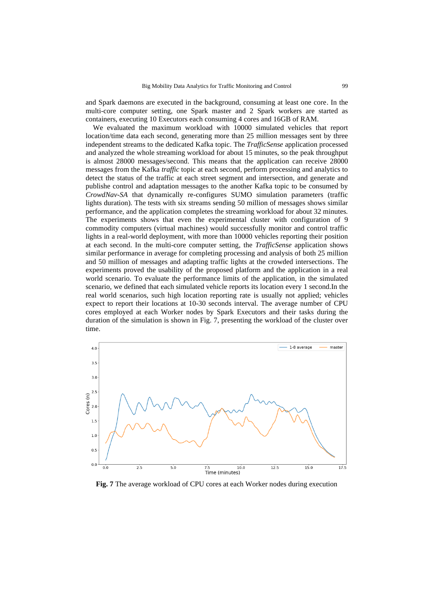and Spark daemons are executed in the background, consuming at least one core. In the multi-core computer setting, one Spark master and 2 Spark workers are started as containers, executing 10 Executors each consuming 4 cores and 16GB of RAM.

We evaluated the maximum workload with 10000 simulated vehicles that report location/time data each second, generating more than 25 million messages sent by three independent streams to the dedicated Kafka topic. The *TrafficSense* application processed and analyzed the whole streaming workload for about 15 minutes, so the peak throughput is almost 28000 messages/second. This means that the application can receive 28000 messages from the Kafka *traffic* topic at each second, perform processing and analytics to detect the status of the traffic at each street segment and intersection, and generate and publishe control and adaptation messages to the another Kafka topic to be consumed by *CrowdNav-SA* that dynamically re-configures SUMO simulation parameters (traffic lights duration)*.* The tests with six streams sending 50 million of messages shows similar performance, and the application completes the streaming workload for about 32 minutes. The experiments shows that even the experimental cluster with configuration of 9 commodity computers (virtual machines) would successfully monitor and control traffic lights in a real-world deployment, with more than 10000 vehicles reporting their position at each second. In the multi-core computer setting, the *TrafficSense* application shows similar performance in average for completing processing and analysis of both 25 million and 50 million of messages and adapting traffic lights at the crowded intersections. The experiments proved the usability of the proposed platform and the application in a real world scenario. To evaluate the performance limits of the application, in the simulated scenario, we defined that each simulated vehicle reports its location every 1 second.In the real world scenarios, such high location reporting rate is usually not applied; vehicles expect to report their locations at 10-30 seconds interval. The average number of CPU cores employed at each Worker nodes by Spark Executors and their tasks during the duration of the simulation is shown in Fig. 7, presenting the workload of the cluster over time.



**Fig. 7** The average workload of CPU cores at each Worker nodes during execution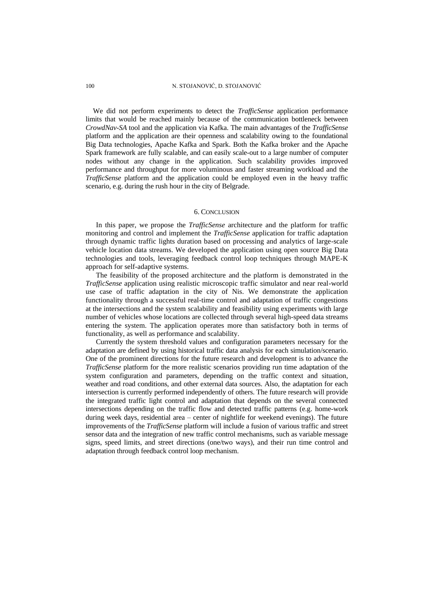### 100 N. STOJANOVIĆ, D. STOJANOVIĆ

We did not perform experiments to detect the *TrafficSense* application performance limits that would be reached mainly because of the communication bottleneck between *CrowdNav-SA* tool and the application via Kafka. The main advantages of the *TrafficSense* platform and the application are their openness and scalability owing to the foundational Big Data technologies, Apache Kafka and Spark. Both the Kafka broker and the Apache Spark framework are fully scalable, and can easily scale-out to a large number of computer nodes without any change in the application. Such scalability provides improved performance and throughput for more voluminous and faster streaming workload and the *TrafficSense* platform and the application could be employed even in the heavy traffic scenario, e.g. during the rush hour in the city of Belgrade.

### 6. CONCLUSION

In this paper, we propose the *TrafficSense* architecture and the platform for traffic monitoring and control and implement the *TrafficSense* application for traffic adaptation through dynamic traffic lights duration based on processing and analytics of large-scale vehicle location data streams. We developed the application using open source Big Data technologies and tools, leveraging feedback control loop techniques through MAPE-K approach for self-adaptive systems.

The feasibility of the proposed architecture and the platform is demonstrated in the *TrafficSense* application using realistic microscopic traffic simulator and near real-world use case of traffic adaptation in the city of Nis. We demonstrate the application functionality through a successful real-time control and adaptation of traffic congestions at the intersections and the system scalability and feasibility using experiments with large number of vehicles whose locations are collected through several high-speed data streams entering the system. The application operates more than satisfactory both in terms of functionality, as well as performance and scalability.

Currently the system threshold values and configuration parameters necessary for the adaptation are defined by using historical traffic data analysis for each simulation/scenario. One of the prominent directions for the future research and development is to advance the *TrafficSense* platform for the more realistic scenarios providing run time adaptation of the system configuration and parameters, depending on the traffic context and situation, weather and road conditions, and other external data sources. Also, the adaptation for each intersection is currently performed independently of others. The future research will provide the integrated traffic light control and adaptation that depends on the several connected intersections depending on the traffic flow and detected traffic patterns (e.g. home-work during week days, residential area – center of nightlife for weekend evenings). The future improvements of the *TrafficSense* platform will include a fusion of various traffic and street sensor data and the integration of new traffic control mechanisms, such as variable message signs, speed limits, and street directions (one/two ways), and their run time control and adaptation through feedback control loop mechanism.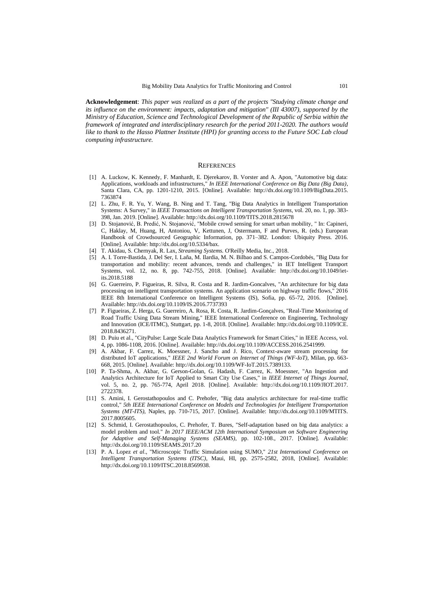**Acknowledgement**: *This paper was realized as a part of the projects "Studying climate change and its influence on the environment: impacts, adaptation and mitigation" (III 43007), supported by the Ministry of Education, Science and Technological Development of the Republic of Serbia within the framework of integrated and interdisciplinary research for the period 2011-2020. The authors would like to thank to the Hasso Plattner Institute (HPI) for granting access to the Future SOC Lab cloud computing infrastructure.*

#### **REFERENCES**

- [1] A. Luckow, K. Kennedy, F. Manhardt, E. Djerekarov, B. Vorster and A. Apon, "Automotive big data: Applications, workloads and infrastructures," *In IEEE International Conference on Big Data (Big Data)*, Santa Clara, CA, pp. 1201-1210, 2015. [Online]. Available: http://dx.doi.org/10.1109/BigData.2015. 7363874
- [2] L. Zhu, F. R. Yu, Y. Wang, B. Ning and T. Tang, "Big Data Analytics in Intelligent Transportation Systems: A Survey," in *IEEE Transactions on Intelligent Transportation Systems*, vol. 20, no. 1, pp. 383- 398, Jan. 2019. [Online]. Available: http://dx.doi.org/10.1109/TITS.2018.2815678
- [3] D. Stojanović, B. Predić, N. Stojanović, "Mobile crowd sensing for smart urban mobility, " In: Capineri, C, Haklay, M, Huang, H, Antoniou, V, Kettunen, J, Ostermann, F and Purves, R. (eds.) European Handbook of Crowdsourced Geographic Information, pp. 371–382. London: Ubiquity Press. 2016. [Online]. Available: http://dx.doi.org/10.5334/bax.
- [4] T. Akidau, S. Chernyak, R. Lax, *Streaming Systems.* O'Reilly Media, Inc., 2018.
- [5] A. I. Torre-Bastida, J. Del Ser, I. Laña, M. Ilardia, M. N. Bilbao and S. Campos-Cordobés, "Big Data for transportation and mobility: recent advances, trends and challenges," in IET Intelligent Transport Systems, vol. 12, no. 8, pp. 742-755, 2018. [Online]. Available: http://dx.doi.org/10.1049/ietits.2018.5188
- [6] G. Guerreiro, P. Figueiras, R. Silva, R. Costa and R. Jardim-Goncalves, "An architecture for big data processing on intelligent transportation systems. An application scenario on highway traffic flows," 2016 IEEE 8th International Conference on Intelligent Systems (IS), Sofia, pp. 65-72, 2016. [Online]. Available: http://dx.doi.org/10.1109/IS.2016.7737393
- [7] P. Figueiras, Z. Herga, G. Guerreiro, A. Rosa, R. Costa, R. Jardim-Gonçalves, "Real-Time Monitoring of Road Traffic Using Data Stream Mining," IEEE International Conference on Engineering, Technology and Innovation (ICE/ITMC), Stuttgart, pp. 1-8, 2018. [Online]. Available: http://dx.doi.org/10.1109/ICE. 2018.8436271.
- [8] D. Puiu et al., "CityPulse: Large Scale Data Analytics Framework for Smart Cities," in IEEE Access, vol. 4, pp. 1086-1108, 2016. [Online]. Available: http://dx.doi.org/10.1109/ACCESS.2016.2541999.
- [9] A. Akbar, F. Carrez, K. Moessner, J. Sancho and J. Rico, Context-aware stream processing for distributed IoT applications," *IEEE 2nd World Forum on Internet of Things (WF-IoT)*, Milan, pp. 663- 668, 2015. [Online]. Available: http://dx.doi.org/10.1109/WF-IoT.2015.7389133.
- [10] P. Ta-Shma, A. Akbar, G. Gerson-Golan, G. Hadash, F. Carrez, K. Moessner, "An Ingestion and Analytics Architecture for IoT Applied to Smart City Use Cases," in *IEEE Internet of Things Journal*, vol. 5, no. 2, pp. 765-774, April 2018. [Online]. Available: http://dx.doi.org/10.1109/JIOT.2017. 2722378.
- [11] S. Amini, I. Gerostathopoulos and C. Prehofer, "Big data analytics architecture for real-time traffic control," *5th IEEE International Conference on Models and Technologies for Intelligent Transportation Systems (MT-ITS)*, Naples, pp. 710-715, 2017. [Online]. Available: http://dx.doi.org/10.1109/MTITS. 2017.8005605.
- [12] S. Schmid, I. Gerostathopoulos, C. Prehofer, T. Bures, "Self-adaptation based on big data analytics: a model problem and tool." *In 2017 IEEE/ACM 12th International Symposium on Software Engineering for Adaptive and Self-Managing Systems (SEAMS)*, pp. 102-108., 2017. [Online]. Available: http://dx.doi.org/10.1109/SEAMS.2017.20
- [13] P. A. Lopez *et al*., "Microscopic Traffic Simulation using SUMO," *21st International Conference on Intelligent Transportation Systems (ITSC)*, Maui, HI, pp. 2575-2582, 2018, [Online]. Available: http://dx.doi.org/10.1109/ITSC.2018.8569938.